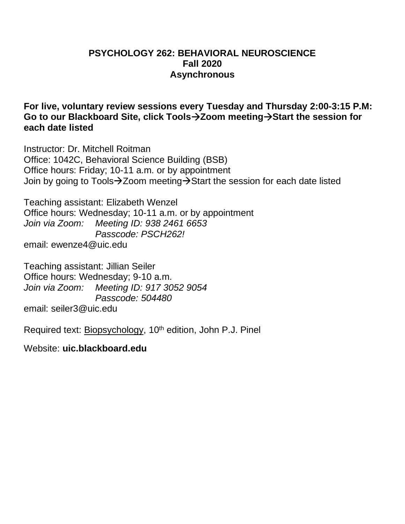### **PSYCHOLOGY 262: BEHAVIORAL NEUROSCIENCE Fall 2020 Asynchronous**

**For live, voluntary review sessions every Tuesday and Thursday 2:00-3:15 P.M: Go to our Blackboard Site, click Tools Zoom meeting Start the session for each date listed**

Instructor: Dr. Mitchell Roitman Office: 1042C, Behavioral Science Building (BSB) Office hours: Friday; 10-11 a.m. or by appointment Join by going to Tools->Zoom meeting->Start the session for each date listed

Teaching assistant: Elizabeth Wenzel Office hours: Wednesday; 10-11 a.m. or by appointment *Join via Zoom: Meeting ID: 938 2461 6653 Passcode: PSCH262!* email: ewenze4@uic.edu

Teaching assistant: Jillian Seiler Office hours: Wednesday; 9-10 a.m. *Join via Zoom: Meeting ID: 917 3052 9054 Passcode: 504480* email: seiler3@uic.edu

Required text: Biopsychology, 10<sup>th</sup> edition, John P.J. Pinel

Website: **uic.blackboard.edu**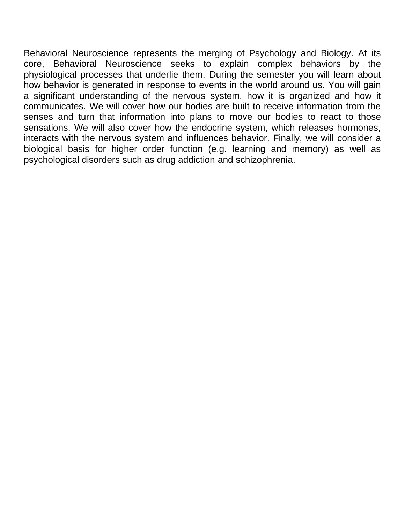Behavioral Neuroscience represents the merging of Psychology and Biology. At its core, Behavioral Neuroscience seeks to explain complex behaviors by the physiological processes that underlie them. During the semester you will learn about how behavior is generated in response to events in the world around us. You will gain a significant understanding of the nervous system, how it is organized and how it communicates. We will cover how our bodies are built to receive information from the senses and turn that information into plans to move our bodies to react to those sensations. We will also cover how the endocrine system, which releases hormones, interacts with the nervous system and influences behavior. Finally, we will consider a biological basis for higher order function (e.g. learning and memory) as well as psychological disorders such as drug addiction and schizophrenia.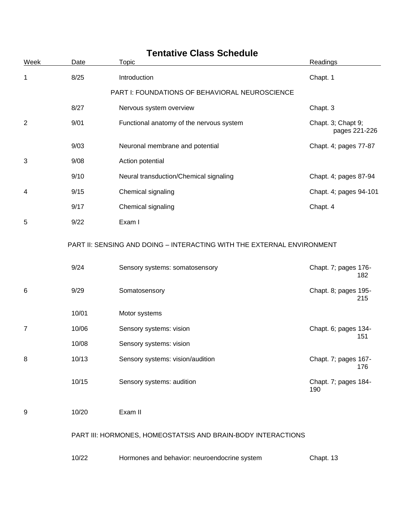| Week           | Date                                           | Topic                                                                  | Readings                            |  |
|----------------|------------------------------------------------|------------------------------------------------------------------------|-------------------------------------|--|
| 1              | 8/25                                           | Introduction                                                           | Chapt. 1                            |  |
|                | PART I: FOUNDATIONS OF BEHAVIORAL NEUROSCIENCE |                                                                        |                                     |  |
|                | 8/27                                           | Nervous system overview                                                | Chapt. 3                            |  |
| $\overline{2}$ | 9/01                                           | Functional anatomy of the nervous system                               | Chapt. 3; Chapt 9;<br>pages 221-226 |  |
|                | 9/03                                           | Neuronal membrane and potential                                        | Chapt. 4; pages 77-87               |  |
| 3              | 9/08                                           | Action potential                                                       |                                     |  |
|                | 9/10                                           | Neural transduction/Chemical signaling                                 | Chapt. 4; pages 87-94               |  |
| 4              | 9/15                                           | Chemical signaling                                                     | Chapt. 4; pages 94-101              |  |
|                | 9/17                                           | Chemical signaling                                                     | Chapt. 4                            |  |
| 5              | 9/22                                           | Exam I                                                                 |                                     |  |
|                |                                                | PART II: SENSING AND DOING - INTERACTING WITH THE EXTERNAL ENVIRONMENT |                                     |  |
|                | 9/24                                           | Sensory systems: somatosensory                                         | Chapt. 7; pages 176-<br>182         |  |
| 6              | 9/29                                           | Somatosensory                                                          | Chapt. 8; pages 195-<br>215         |  |
|                | 10/01                                          | Motor systems                                                          |                                     |  |
| 7              | 10/06                                          | Sensory systems: vision                                                | Chapt. 6; pages 134-<br>151         |  |
|                | 10/08                                          | Sensory systems: vision                                                |                                     |  |
| 8              | 10/13                                          | Sensory systems: vision/audition                                       | Chapt. 7; pages 167-<br>176         |  |
|                | 10/15                                          | Sensory systems: audition                                              | Chapt. 7; pages 184-<br>190         |  |
| 9              | 10/20                                          | Exam II                                                                |                                     |  |
|                |                                                | PART III: HORMONES, HOMEOSTATSIS AND BRAIN-BODY INTERACTIONS           |                                     |  |
|                | 10/22                                          | Hormones and behavior: neuroendocrine system                           | Chapt. 13                           |  |

# **Tentative Class Schedule**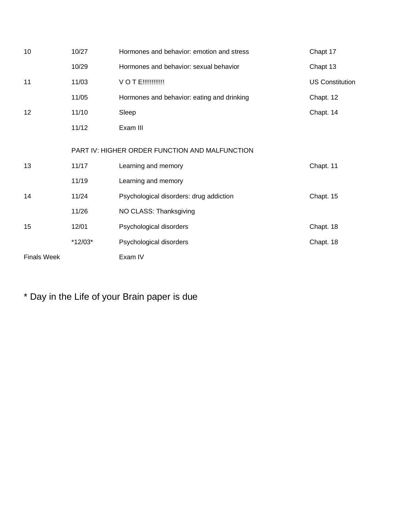| 10                 | 10/27     | Hormones and behavior: emotion and stress      | Chapt 17               |
|--------------------|-----------|------------------------------------------------|------------------------|
|                    | 10/29     | Hormones and behavior: sexual behavior         | Chapt 13               |
| 11                 | 11/03     | <b>VOTE!!!!!!!!!!!!</b>                        | <b>US Constitution</b> |
|                    | 11/05     | Hormones and behavior: eating and drinking     | Chapt. 12              |
| 12                 | 11/10     | Sleep                                          | Chapt. 14              |
|                    | 11/12     | Exam III                                       |                        |
|                    |           | PART IV: HIGHER ORDER FUNCTION AND MALFUNCTION |                        |
| 13                 | 11/17     | Learning and memory                            | Chapt. 11              |
|                    | 11/19     | Learning and memory                            |                        |
| 14                 | 11/24     | Psychological disorders: drug addiction        | Chapt. 15              |
|                    | 11/26     | NO CLASS: Thanksgiving                         |                        |
| 15                 | 12/01     | Psychological disorders                        | Chapt. 18              |
|                    | $*12/03*$ | Psychological disorders                        | Chapt. 18              |
| <b>Finals Week</b> |           | Exam IV                                        |                        |

\* Day in the Life of your Brain paper is due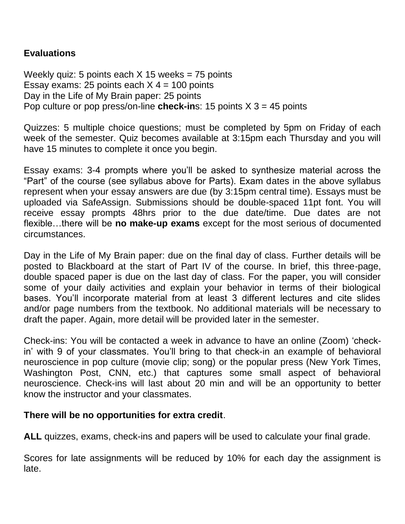## **Evaluations**

Weekly quiz: 5 points each  $X$  15 weeks = 75 points Essay exams: 25 points each  $X$  4 = 100 points Day in the Life of My Brain paper: 25 points Pop culture or pop press/on-line **check-in**s: 15 points X 3 = 45 points

Quizzes: 5 multiple choice questions; must be completed by 5pm on Friday of each week of the semester. Quiz becomes available at 3:15pm each Thursday and you will have 15 minutes to complete it once you begin.

Essay exams: 3-4 prompts where you'll be asked to synthesize material across the "Part" of the course (see syllabus above for Parts). Exam dates in the above syllabus represent when your essay answers are due (by 3:15pm central time). Essays must be uploaded via SafeAssign. Submissions should be double-spaced 11pt font. You will receive essay prompts 48hrs prior to the due date/time. Due dates are not flexible…there will be **no make-up exams** except for the most serious of documented circumstances.

Day in the Life of My Brain paper: due on the final day of class. Further details will be posted to Blackboard at the start of Part IV of the course. In brief, this three-page, double spaced paper is due on the last day of class. For the paper, you will consider some of your daily activities and explain your behavior in terms of their biological bases. You'll incorporate material from at least 3 different lectures and cite slides and/or page numbers from the textbook. No additional materials will be necessary to draft the paper. Again, more detail will be provided later in the semester.

Check-ins: You will be contacted a week in advance to have an online (Zoom) 'checkin' with 9 of your classmates. You'll bring to that check-in an example of behavioral neuroscience in pop culture (movie clip; song) or the popular press (New York Times, Washington Post, CNN, etc.) that captures some small aspect of behavioral neuroscience. Check-ins will last about 20 min and will be an opportunity to better know the instructor and your classmates.

#### **There will be no opportunities for extra credit**.

**ALL** quizzes, exams, check-ins and papers will be used to calculate your final grade.

Scores for late assignments will be reduced by 10% for each day the assignment is late.